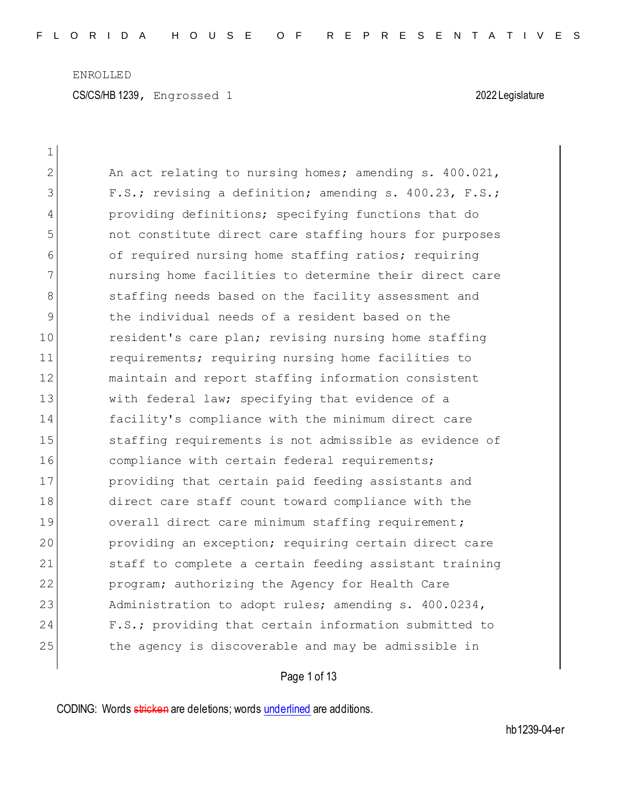| $\mathbf 1$ |                                                        |
|-------------|--------------------------------------------------------|
| 2           | An act relating to nursing homes; amending s. 400.021, |
| 3           | F.S.; revising a definition; amending s. 400.23, F.S.; |
| 4           | providing definitions; specifying functions that do    |
| 5           | not constitute direct care staffing hours for purposes |
| 6           | of required nursing home staffing ratios; requiring    |
| 7           | nursing home facilities to determine their direct care |
| 8           | staffing needs based on the facility assessment and    |
| 9           | the individual needs of a resident based on the        |
| 10          | resident's care plan; revising nursing home staffing   |
| 11          | requirements; requiring nursing home facilities to     |
| 12          | maintain and report staffing information consistent    |
| 13          | with federal law; specifying that evidence of a        |
| 14          | facility's compliance with the minimum direct care     |
| 15          | staffing requirements is not admissible as evidence of |
| 16          | compliance with certain federal requirements;          |
| 17          | providing that certain paid feeding assistants and     |
| 18          | direct care staff count toward compliance with the     |
| 19          | overall direct care minimum staffing requirement;      |
| 20          | providing an exception; requiring certain direct care  |
| 21          | staff to complete a certain feeding assistant training |
| 22          | program; authorizing the Agency for Health Care        |
| 23          | Administration to adopt rules; amending s. 400.0234,   |
| 24          | F.S.; providing that certain information submitted to  |
| 25          | the agency is discoverable and may be admissible in    |

Page 1 of 13

CODING: Words stricken are deletions; words underlined are additions.

 $\overline{\phantom{a}}$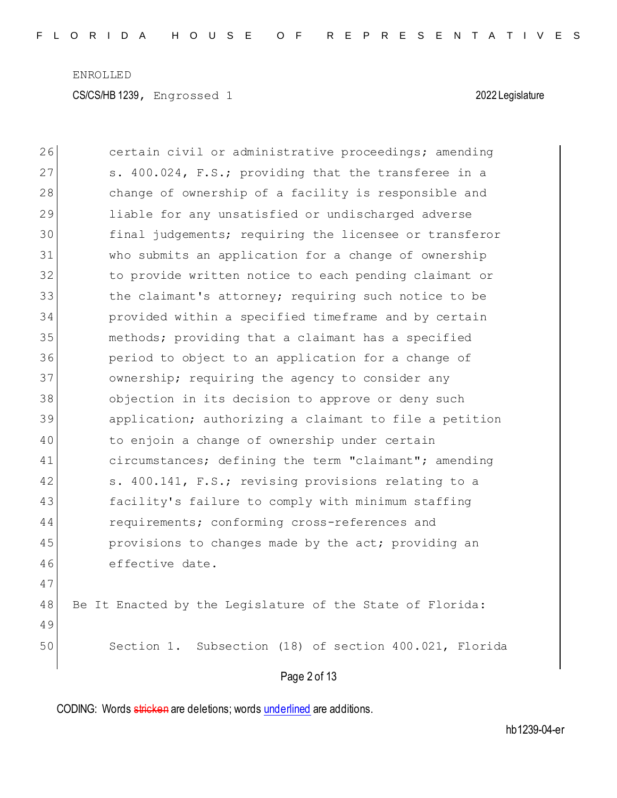CS/CS/HB 1239, Engrossed 1 2022 Legislature

| 26 | certain civil or administrative proceedings; amending     |
|----|-----------------------------------------------------------|
| 27 | s. 400.024, F.S.; providing that the transferee in a      |
| 28 | change of ownership of a facility is responsible and      |
| 29 | liable for any unsatisfied or undischarged adverse        |
| 30 | final judgements; requiring the licensee or transferor    |
| 31 | who submits an application for a change of ownership      |
| 32 | to provide written notice to each pending claimant or     |
| 33 | the claimant's attorney; requiring such notice to be      |
| 34 | provided within a specified timeframe and by certain      |
| 35 | methods; providing that a claimant has a specified        |
| 36 | period to object to an application for a change of        |
| 37 | ownership; requiring the agency to consider any           |
| 38 | objection in its decision to approve or deny such         |
| 39 | application; authorizing a claimant to file a petition    |
| 40 | to enjoin a change of ownership under certain             |
| 41 | circumstances; defining the term "claimant"; amending     |
| 42 | s. 400.141, F.S.; revising provisions relating to a       |
| 43 | facility's failure to comply with minimum staffing        |
| 44 | requirements; conforming cross-references and             |
| 45 | provisions to changes made by the act; providing an       |
| 46 | effective date.                                           |
| 47 |                                                           |
| 48 | Be It Enacted by the Legislature of the State of Florida: |
| 49 |                                                           |
| 50 | Section 1. Subsection (18) of section 400.021, Florida    |
|    | Page 2 of 13                                              |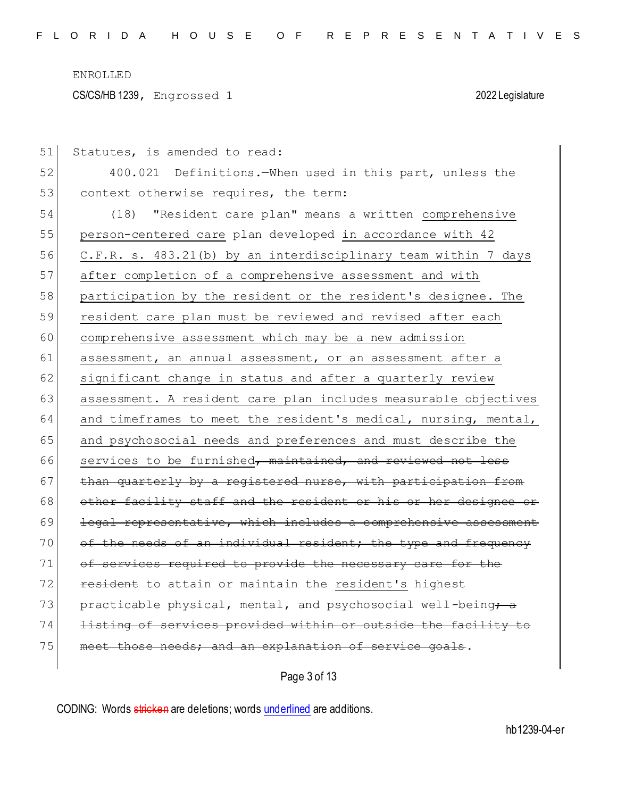CS/CS/HB 1239, Engrossed 1 2022 Legislature

51 Statutes, is amended to read: 52 400.021 Definitions.—When used in this part, unless the 53 context otherwise requires, the term: 54 (18) "Resident care plan" means a written comprehensive 55 person-centered care plan developed in accordance with 42 56 C.F.R. s. 483.21(b) by an interdisciplinary team within 7 days 57 after completion of a comprehensive assessment and with 58 participation by the resident or the resident's designee. The 59 resident care plan must be reviewed and revised after each 60 comprehensive assessment which may be a new admission 61 assessment, an annual assessment, or an assessment after a 62 significant change in status and after a quarterly review 63 assessment. A resident care plan includes measurable objectives 64 and timeframes to meet the resident's medical, nursing, mental, 65 and psychosocial needs and preferences and must describe the  $66$  services to be furnished, maintained, and reviewed not less  $67$  than quarterly by a registered nurse, with participation from 68 other facility staff and the resident or his or her designee or  $69$  legal representative, which includes a comprehensive 70 of the needs of an individual resident; the type and frequency 71 of services required to provide the necessary care for the 72 **resident** to attain or maintain the resident's highest 73 practicable physical, mental, and psychosocial well-being $\div$  a 74 Listing of services provided within or outside the facility to 75 meet those needs; and an explanation of service goals.

Page 3 of 13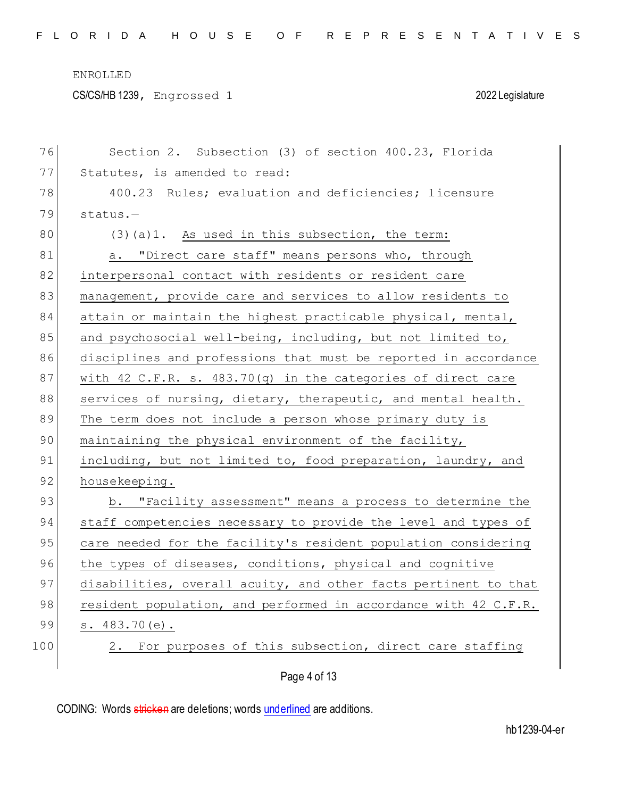CS/CS/HB 1239, Engrossed 1 2022 Legislature

| 76  | Section 2. Subsection (3) of section 400.23, Florida            |
|-----|-----------------------------------------------------------------|
| 77  | Statutes, is amended to read:                                   |
| 78  | 400.23 Rules; evaluation and deficiencies; licensure            |
| 79  | status.                                                         |
| 80  | (3)(a)1. As used in this subsection, the term:                  |
| 81  | a. "Direct care staff" means persons who, through               |
| 82  | interpersonal contact with residents or resident care           |
| 83  | management, provide care and services to allow residents to     |
| 84  | attain or maintain the highest practicable physical, mental,    |
| 85  | and psychosocial well-being, including, but not limited to,     |
| 86  | disciplines and professions that must be reported in accordance |
| 87  | with 42 C.F.R. s. 483.70(q) in the categories of direct care    |
| 88  | services of nursing, dietary, therapeutic, and mental health.   |
| 89  | The term does not include a person whose primary duty is        |
| 90  | maintaining the physical environment of the facility,           |
| 91  | including, but not limited to, food preparation, laundry, and   |
| 92  | housekeeping.                                                   |
| 93  | b. "Facility assessment" means a process to determine the       |
| 94  | staff competencies necessary to provide the level and types of  |
| 95  | care needed for the facility's resident population considering  |
| 96  | the types of diseases, conditions, physical and cognitive       |
| 97  | disabilities, overall acuity, and other facts pertinent to that |
| 98  | resident population, and performed in accordance with 42 C.F.R. |
| 99  | s. $483.70(e)$ .                                                |
| 100 | For purposes of this subsection, direct care staffing<br>2.     |
|     |                                                                 |
|     | Page 4 of 13                                                    |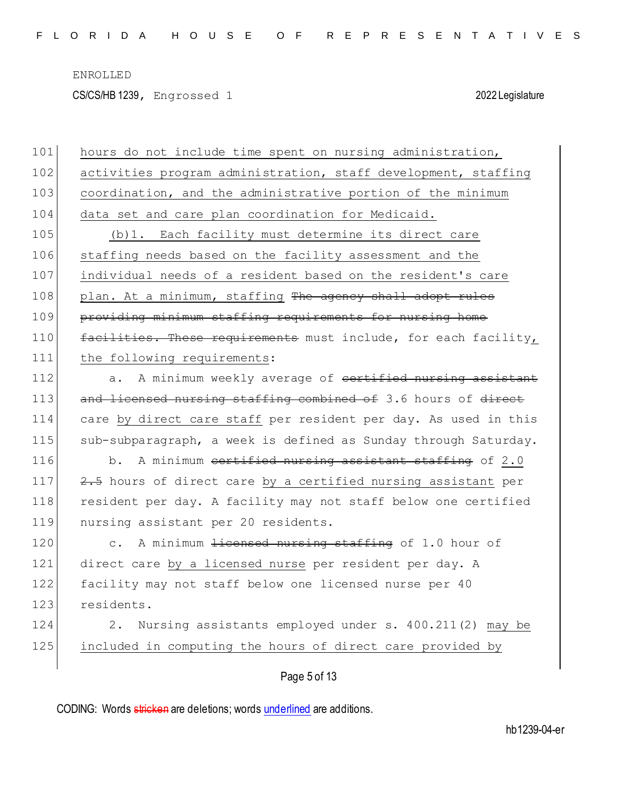CS/CS/HB 1239, Engrossed 1 2022 Legislature

|     | Page 5 of 13                                                     |
|-----|------------------------------------------------------------------|
| 125 | included in computing the hours of direct care provided by       |
| 124 | Nursing assistants employed under s. 400.211(2) may be<br>$2$ .  |
| 123 | residents.                                                       |
| 122 | facility may not staff below one licensed nurse per 40           |
| 121 | direct care by a licensed nurse per resident per day. A          |
| 120 | c. A minimum <del>licensed nursing staffing</del> of 1.0 hour of |
| 119 | nursing assistant per 20 residents.                              |
| 118 | resident per day. A facility may not staff below one certified   |
| 117 | 2.5 hours of direct care by a certified nursing assistant per    |
| 116 | A minimum cortified nursing assistant staffing of 2.0<br>$b$ .   |
| 115 | sub-subparagraph, a week is defined as Sunday through Saturday.  |
| 114 | care by direct care staff per resident per day. As used in this  |
| 113 | and licensed nursing staffing combined of 3.6 hours of direct    |
| 112 | A minimum weekly average of certified nursing assistant<br>a.    |
| 111 | the following requirements:                                      |
| 110 | facilities. These requirements must include, for each facility,  |
| 109 | providing minimum staffing requirements for nursing home         |
| 108 | plan. At a minimum, staffing The agency shall adopt rules        |
| 107 | individual needs of a resident based on the resident's care      |
| 106 | staffing needs based on the facility assessment and the          |
| 105 | (b) 1. Each facility must determine its direct care              |
| 104 | data set and care plan coordination for Medicaid.                |
| 103 | coordination, and the administrative portion of the minimum      |
| 102 | activities program administration, staff development, staffing   |
| 101 | hours do not include time spent on nursing administration,       |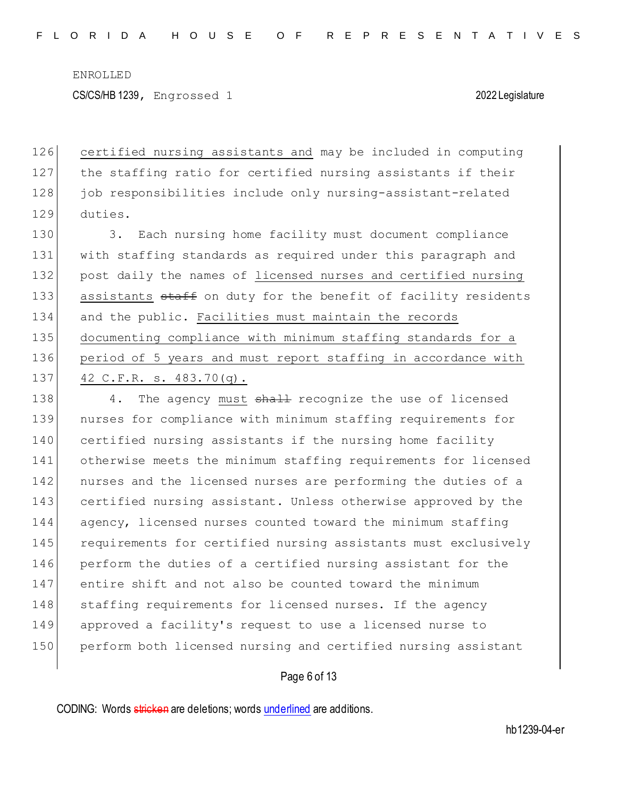CS/CS/HB 1239, Engrossed 1 2022 Legislature

126 certified nursing assistants and may be included in computing 127 the staffing ratio for certified nursing assistants if their 128 job responsibilities include only nursing-assistant-related 129 duties.

130 3. Each nursing home facility must document compliance 131 with staffing standards as required under this paragraph and 132 post daily the names of licensed nurses and certified nursing 133 assistants staff on duty for the benefit of facility residents 134 and the public. Facilities must maintain the records 135 documenting compliance with minimum staffing standards for a 136 period of 5 years and must report staffing in accordance with 137 42 C.F.R. s. 483.70(q).

138 4. The agency must shall recognize the use of licensed nurses for compliance with minimum staffing requirements for certified nursing assistants if the nursing home facility otherwise meets the minimum staffing requirements for licensed 142 | nurses and the licensed nurses are performing the duties of a certified nursing assistant. Unless otherwise approved by the 144 agency, licensed nurses counted toward the minimum staffing 145 requirements for certified nursing assistants must exclusively perform the duties of a certified nursing assistant for the entire shift and not also be counted toward the minimum 148 staffing requirements for licensed nurses. If the agency approved a facility's request to use a licensed nurse to perform both licensed nursing and certified nursing assistant

## Page 6 of 13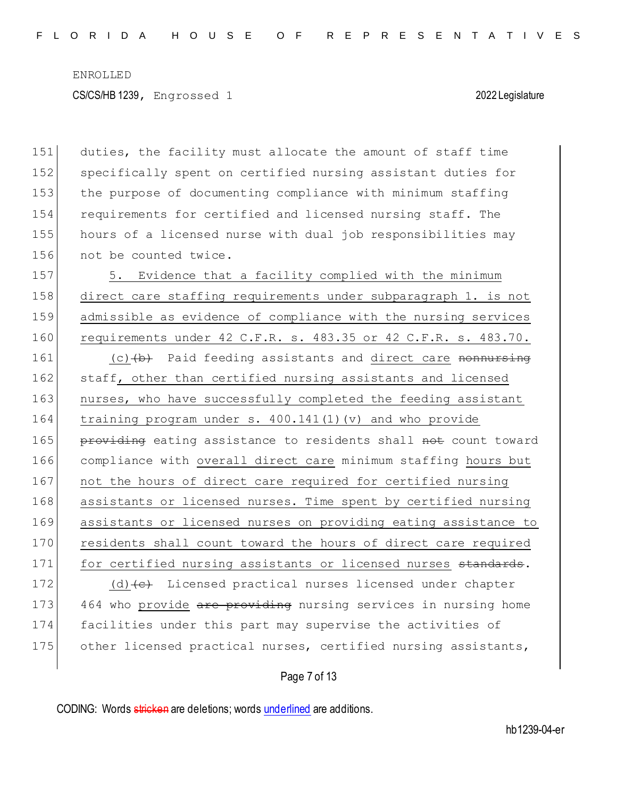CS/CS/HB 1239, Engrossed 1 2022 Legislature

151 duties, the facility must allocate the amount of staff time 152 specifically spent on certified nursing assistant duties for 153 the purpose of documenting compliance with minimum staffing 154 requirements for certified and licensed nursing staff. The 155 hours of a licensed nurse with dual job responsibilities may 156 not be counted twice.

157 5. Evidence that a facility complied with the minimum 158 direct care staffing requirements under subparagraph 1. is not 159 admissible as evidence of compliance with the nursing services 160 requirements under 42 C.F.R. s. 483.35 or 42 C.F.R. s. 483.70.

161  $(c)$   $(b)$  Paid feeding assistants and direct care nonnursing 162 staff, other than certified nursing assistants and licensed 163 nurses, who have successfully completed the feeding assistant 164 training program under s. 400.141(1)(v) and who provide 165 providing eating assistance to residents shall not count toward 166 compliance with overall direct care minimum staffing hours but 167 not the hours of direct care required for certified nursing 168 assistants or licensed nurses. Time spent by certified nursing 169 assistants or licensed nurses on providing eating assistance to 170 residents shall count toward the hours of direct care required 171 for certified nursing assistants or licensed nurses standards. 172 (d) (e) Licensed practical nurses licensed under chapter 173 464 who provide are providing nursing services in nursing home 174 facilities under this part may supervise the activities of 175 other licensed practical nurses, certified nursing assistants,

Page 7 of 13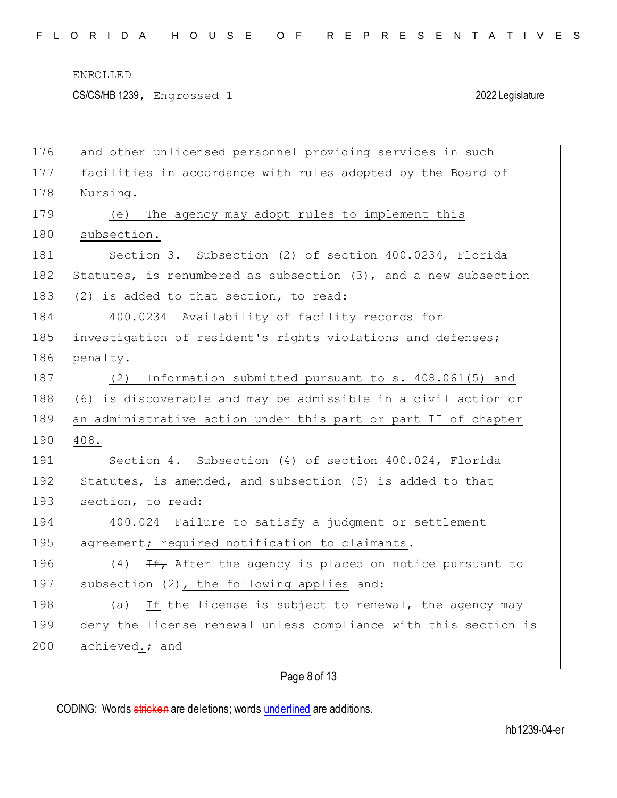CS/CS/HB 1239, Engrossed 1 2022 Legislature

| 176 | and other unlicensed personnel providing services in such       |
|-----|-----------------------------------------------------------------|
| 177 | facilities in accordance with rules adopted by the Board of     |
| 178 | Nursing.                                                        |
| 179 | The agency may adopt rules to implement this<br>(e)             |
| 180 | subsection.                                                     |
| 181 | Section 3. Subsection (2) of section 400.0234, Florida          |
| 182 | Statutes, is renumbered as subsection (3), and a new subsection |
| 183 | (2) is added to that section, to read:                          |
| 184 | 400.0234 Availability of facility records for                   |
| 185 | investigation of resident's rights violations and defenses;     |
| 186 | penalty.-                                                       |
| 187 | Information submitted pursuant to s. 408.061(5) and<br>(2)      |
| 188 | (6) is discoverable and may be admissible in a civil action or  |
| 189 | an administrative action under this part or part II of chapter  |
| 190 | 408.                                                            |
| 191 | Section 4. Subsection (4) of section 400.024, Florida           |
| 192 | Statutes, is amended, and subsection (5) is added to that       |
| 193 | section, to read:                                               |
| 194 | 400.024 Failure to satisfy a judgment or settlement             |
| 195 | agreement; required notification to claimants.-                 |
| 196 | (4)<br>If, After the agency is placed on notice pursuant to     |
| 197 | subsection (2), the following applies and:                      |
| 198 | If the license is subject to renewal, the agency may<br>(a)     |
| 199 | deny the license renewal unless compliance with this section is |
| 200 | achieved. + and                                                 |
|     |                                                                 |

# Page 8 of 13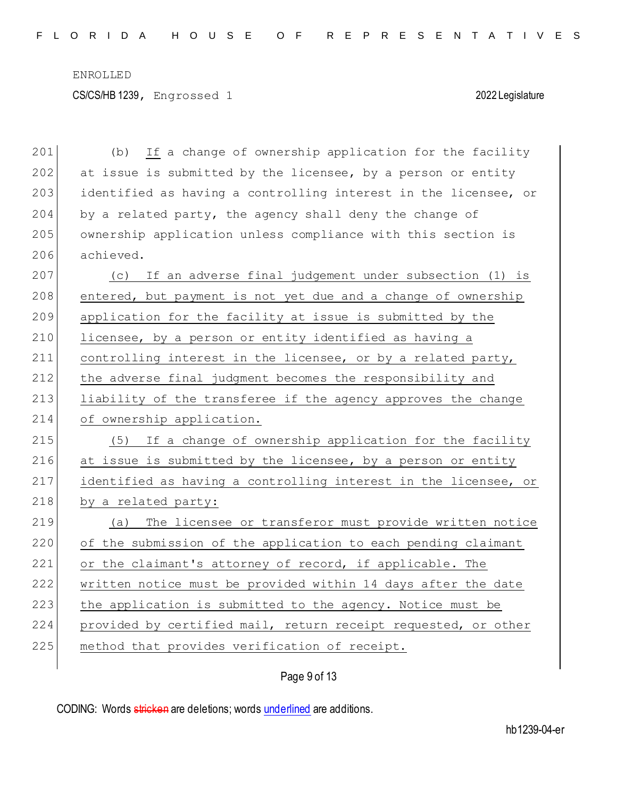CS/CS/HB 1239, Engrossed 1 2022 Legislature

201 (b) If a change of ownership application for the facility  $202$  at issue is submitted by the licensee, by a person or entity 203 identified as having a controlling interest in the licensee, or 204 by a related party, the agency shall deny the change of 205 ownership application unless compliance with this section is 206 achieved. 207 (c) If an adverse final judgement under subsection (1) is 208 entered, but payment is not yet due and a change of ownership 209 application for the facility at issue is submitted by the 210 licensee, by a person or entity identified as having a 211 controlling interest in the licensee, or by a related party, 212 the adverse final judgment becomes the responsibility and 213 liability of the transferee if the agency approves the change 214 of ownership application. 215 (5) If a change of ownership application for the facility 216 at issue is submitted by the licensee, by a person or entity 217 identified as having a controlling interest in the licensee, or 218 by a related party: 219 (a) The licensee or transferor must provide written notice 220 of the submission of the application to each pending claimant 221 or the claimant's attorney of record, if applicable. The 222 written notice must be provided within 14 days after the date 223 the application is submitted to the agency. Notice must be 224 provided by certified mail, return receipt requested, or other 225 method that provides verification of receipt.

Page 9 of 13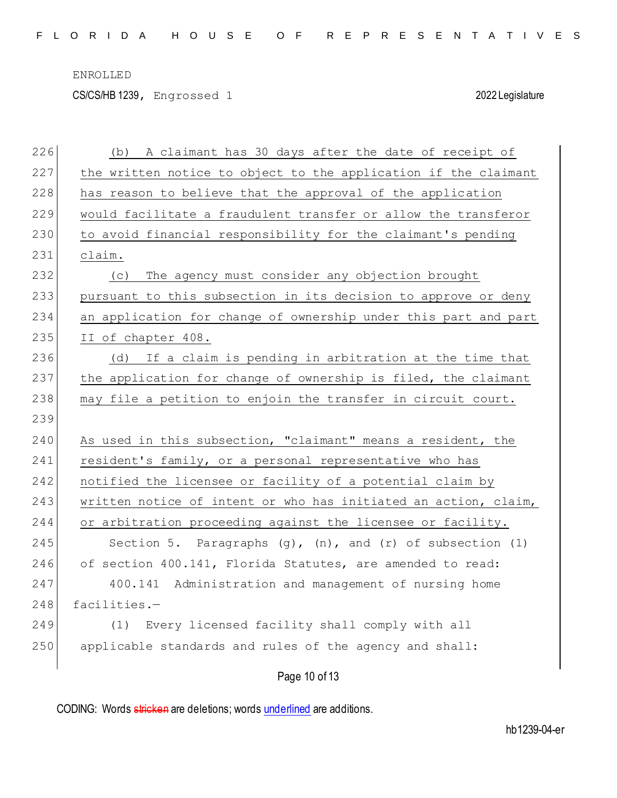CS/CS/HB 1239, Engrossed 1 2022 Legislature

| 226 | A claimant has 30 days after the date of receipt of<br>(b)          |
|-----|---------------------------------------------------------------------|
| 227 | the written notice to object to the application if the claimant     |
| 228 | has reason to believe that the approval of the application          |
| 229 | would facilitate a fraudulent transfer or allow the transferor      |
| 230 | to avoid financial responsibility for the claimant's pending        |
| 231 | claim.                                                              |
| 232 | The agency must consider any objection brought<br>(C)               |
| 233 | pursuant to this subsection in its decision to approve or deny      |
| 234 | an application for change of ownership under this part and part     |
| 235 | II of chapter 408.                                                  |
| 236 | (d) If a claim is pending in arbitration at the time that           |
| 237 | the application for change of ownership is filed, the claimant      |
| 238 | may file a petition to enjoin the transfer in circuit court.        |
| 239 |                                                                     |
| 240 | As used in this subsection, "claimant" means a resident, the        |
| 241 | resident's family, or a personal representative who has             |
| 242 | notified the licensee or facility of a potential claim by           |
| 243 | written notice of intent or who has initiated an action, claim,     |
| 244 | or arbitration proceeding against the licensee or facility.         |
| 245 | Section 5. Paragraphs $(q)$ , $(n)$ , and $(r)$ of subsection $(1)$ |
| 246 | of section 400.141, Florida Statutes, are amended to read:          |
| 247 | 400.141 Administration and management of nursing home               |
| 248 | facilities.-                                                        |
| 249 | Every licensed facility shall comply with all<br>(1)                |
| 250 | applicable standards and rules of the agency and shall:             |
|     | Page 10 of 13                                                       |

CODING: Words stricken are deletions; words underlined are additions.

hb1239-04-er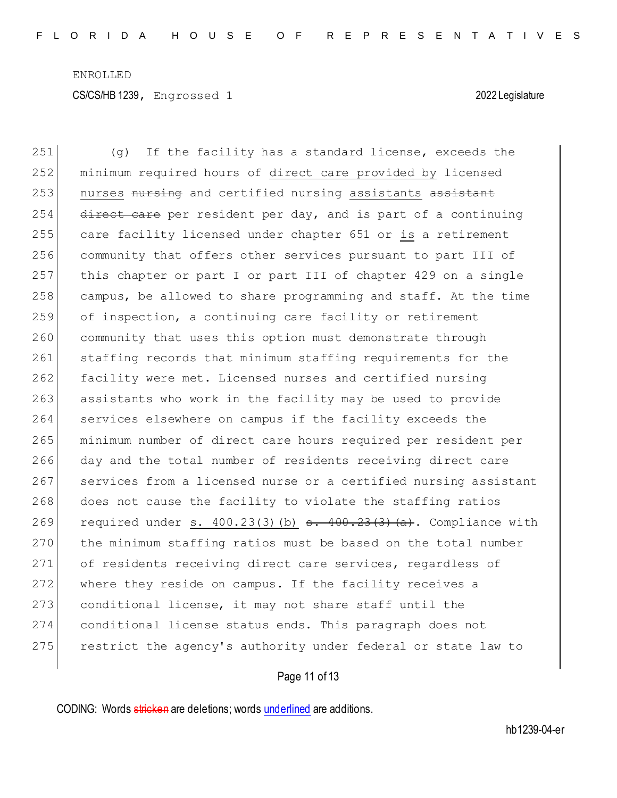251 (g) If the facility has a standard license, exceeds the 252 minimum required hours of direct care provided by licensed 253 nurses nursing and certified nursing assistants assistant  $254$  direct care per resident per day, and is part of a continuing 255 care facility licensed under chapter 651 or is a retirement 256 community that offers other services pursuant to part III of 257 this chapter or part I or part III of chapter 429 on a single 258 campus, be allowed to share programming and staff. At the time 259 of inspection, a continuing care facility or retirement 260 community that uses this option must demonstrate through 261 staffing records that minimum staffing requirements for the 262 facility were met. Licensed nurses and certified nursing 263 assistants who work in the facility may be used to provide 264 services elsewhere on campus if the facility exceeds the 265 minimum number of direct care hours required per resident per 266 day and the total number of residents receiving direct care 267 services from a licensed nurse or a certified nursing assistant 268 does not cause the facility to violate the staffing ratios 269 required under s.  $400.23(3)$  (b)  $\epsilon$ .  $400.23(3)$  (a). Compliance with 270 the minimum staffing ratios must be based on the total number 271 of residents receiving direct care services, regardless of 272 where they reside on campus. If the facility receives a 273 conditional license, it may not share staff until the 274 conditional license status ends. This paragraph does not 275 restrict the agency's authority under federal or state law to

Page 11 of 13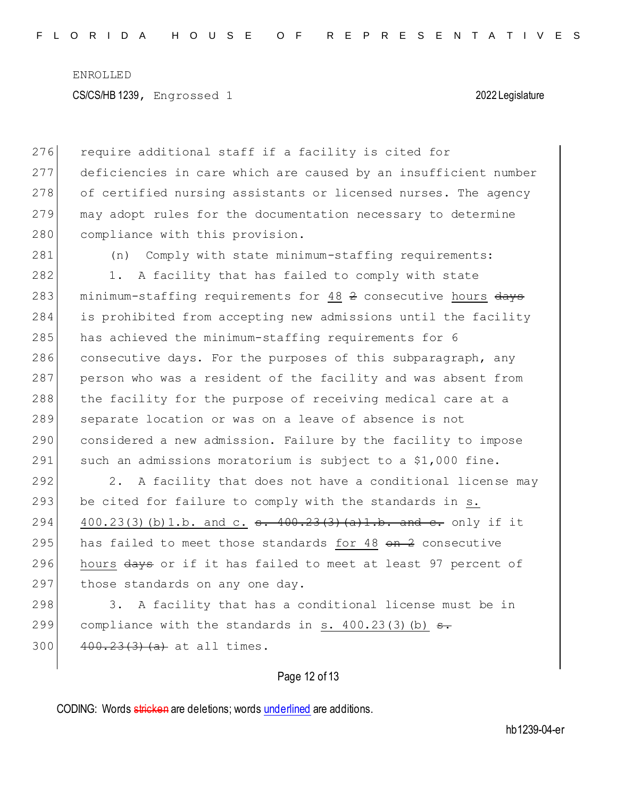276 require additional staff if a facility is cited for 277 deficiencies in care which are caused by an insufficient number 278 of certified nursing assistants or licensed nurses. The agency 279 may adopt rules for the documentation necessary to determine 280 compliance with this provision.

281 (n) Comply with state minimum-staffing requirements:

282 1. A facility that has failed to comply with state 283 minimum-staffing requirements for 48 2 consecutive hours days 284 is prohibited from accepting new admissions until the facility 285 has achieved the minimum-staffing requirements for 6 286 consecutive days. For the purposes of this subparagraph, any 287 person who was a resident of the facility and was absent from 288 the facility for the purpose of receiving medical care at a 289 separate location or was on a leave of absence is not 290 considered a new admission. Failure by the facility to impose 291 such an admissions moratorium is subject to a \$1,000 fine.

292 2. A facility that does not have a conditional license may 293 be cited for failure to comply with the standards in  $s$ . 294 400.23(3)(b)1.b. and c.  $\epsilon$ . 400.23(3)(a)1.b. and  $\epsilon$ . only if it 295 has failed to meet those standards for 48  $\Theta$ n  $\Omega$  consecutive 296 hours days or if it has failed to meet at least 97 percent of 297 those standards on any one day.

298 3. A facility that has a conditional license must be in 299 compliance with the standards in s.  $400.23(3)(b)$  s.  $300$   $400.23(3)(a)$  at all times.

## Page 12 of 13